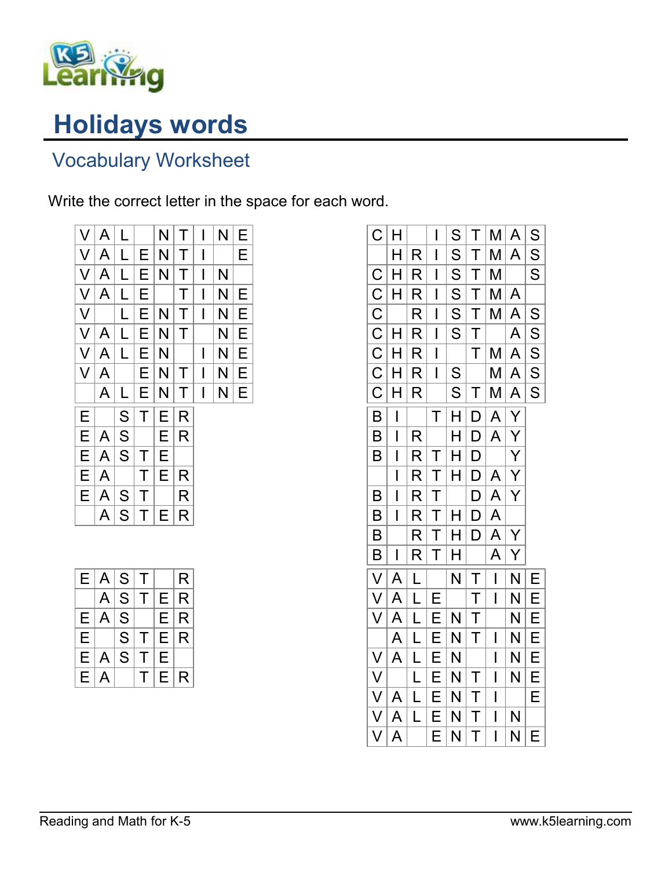

## Holidays words

## Vocabulary Worksheet

Write the correct letter in the space for each word.

| V      | A | L |   | N | Τ | I | N | Е |
|--------|---|---|---|---|---|---|---|---|
| $\vee$ | A | L | Ε | N | Τ | I |   | Е |
| V      | A | L | Е | N | Τ | I | N |   |
| $\vee$ | A | L | Е |   | Τ | I | N | Е |
| $\vee$ |   | L | Ε | N | Τ | I | N | Е |
| $\vee$ | A | L | Е | N | Τ |   | N | Е |
| $\vee$ | A | L | Е | N |   | I | N | Е |
| V      | A |   | Ε | N | Τ | I | N | Е |
|        | A | L | Е | N | Τ | I | N | Е |
| Е      |   | S | Τ | E | R |   |   |   |
| Ε      | A | S |   | Ε | R |   |   |   |
| Е      | A | S | Τ | Е |   |   |   |   |
| E      | A |   | Τ | Е | R |   |   |   |
| E      | A | S | Τ |   | R |   |   |   |
|        | A | S |   | Е | R |   |   |   |

| E | $\mathsf{A}$ | $\mathsf{S}% _{T}=\mathsf{S}_{T}\!\left( a,b\right) ,\ \mathsf{S}_{T}=\mathsf{S}_{T}\!\left( a,b\right) ,\ \mathsf{S}_{T}=\mathsf{S}_{T}\!\left( a,b\right) ,\ \mathsf{S}_{T}=\mathsf{S}_{T}\!\left( a,b\right) ,\ \mathsf{S}_{T}=\mathsf{S}_{T}\!\left( a,b\right) ,\ \mathsf{S}_{T}=\mathsf{S}_{T}\!\left( a,b\right) ,\ \mathsf{S}_{T}=\mathsf{S}_{T}\!\left( a,b\right) ,\ \mathsf{S}_{T}=\mathsf{S}_{T}\!\left( a,b\right) ,\ \mathsf{S}_{T}=\math$ | Τ |   | R |
|---|--------------|----------------------------------------------------------------------------------------------------------------------------------------------------------------------------------------------------------------------------------------------------------------------------------------------------------------------------------------------------------------------------------------------------------------------------------------------------------|---|---|---|
|   | A            | S                                                                                                                                                                                                                                                                                                                                                                                                                                                        | Τ | Е | R |
| Е | A            | S                                                                                                                                                                                                                                                                                                                                                                                                                                                        |   | E | R |
| E |              | S                                                                                                                                                                                                                                                                                                                                                                                                                                                        | т | E | R |
| E | A            | S                                                                                                                                                                                                                                                                                                                                                                                                                                                        | т | E |   |
| E | $\mathsf A$  |                                                                                                                                                                                                                                                                                                                                                                                                                                                          |   | F | R |

| $\overline{C}$           | Η                        |                         | I                        | S                       | T                       | Μ              | A               | S                       |
|--------------------------|--------------------------|-------------------------|--------------------------|-------------------------|-------------------------|----------------|-----------------|-------------------------|
|                          | Η                        | R                       | I                        | S                       | T                       | M              | A               | S                       |
| $\mathsf C$              | H                        | R                       | I                        | S                       | T                       | M              |                 | $\overline{\mathsf{S}}$ |
|                          | Н                        | R                       | I                        | S                       | $\overline{T}$          | M              | A               |                         |
| $\frac{\overline{C}}{C}$ |                          | R                       | I                        | S                       | $\mathsf T$             | M              | A               | S                       |
| $\overline{C}$           | H                        | R                       | I                        | S                       | $\overline{\mathsf{T}}$ |                | A               | ${\mathsf S}$           |
| $\overline{C}$           | Н                        | R                       | $\overline{\phantom{a}}$ |                         | T                       | M              | A               | S                       |
| $\overline{C}$           | Н                        | $\mathsf{R}% _{T}$      | $\overline{\phantom{a}}$ | $\overline{\mathsf{s}}$ |                         | M              | A               | S                       |
| $\overline{C}$           | H                        | R                       |                          | S                       | Τ                       | M              | $\underline{A}$ | S                       |
| $\overline{\mathsf{B}}$  | $\overline{\phantom{a}}$ |                         | T                        | H                       | D                       | A              | $\overline{Y}$  |                         |
| B                        | I                        | R                       |                          | $\mathsf{H}$            | D                       | A              | $\overline{Y}$  |                         |
| B                        | I                        | $\mathsf R$             | T                        | H                       | D                       |                | $\overline{Y}$  |                         |
|                          | $\overline{\phantom{a}}$ | R                       | T                        | Η                       | D                       | A              | $\overline{Y}$  |                         |
| B                        | I                        | R                       | $\mathsf T$              |                         | D                       | A              | Y               |                         |
| B                        | I                        | R                       | T                        | Η                       | D                       | A              |                 |                         |
| B                        |                          | R                       | T                        | H                       | D                       | A              | $\overline{Y}$  |                         |
| $\overline{\mathsf{B}}$  | I                        | R                       | Τ                        | H                       |                         | A              | Y               |                         |
| $\overline{\mathsf{V}}$  | A                        | L                       |                          | N                       | $\mathsf T$             | $\overline{1}$ | N               | Е                       |
| V                        | A                        | L                       | E                        |                         | T                       | I              | N               | E                       |
| V                        | A                        | $\overline{\mathsf{L}}$ | E                        | N                       | T                       |                | N               | E                       |
|                          | A                        | $\overline{\mathsf{L}}$ | Е                        | N                       | Τ                       | I              | N               | E                       |
| $\vee$                   | A                        | L                       | E                        | N                       |                         | I              | N               | E                       |
| $\vee$                   |                          | $\overline{\mathsf{L}}$ | E                        | N                       | Τ                       | $\mathsf I$    | N               | E                       |
| $\overline{\mathsf{V}}$  | A                        | $\overline{\mathsf{L}}$ | $\overline{E}$           | $\mathsf{N}$            | T                       | $\mathsf I$    |                 | $\overline{E}$          |
| $\overline{\vee}$        | A                        | $\overline{\mathsf{L}}$ | E                        | N                       | T                       | $\mathsf I$    | N               |                         |
| V                        | A                        |                         | E                        | N                       | Τ                       | I              | N               | E                       |